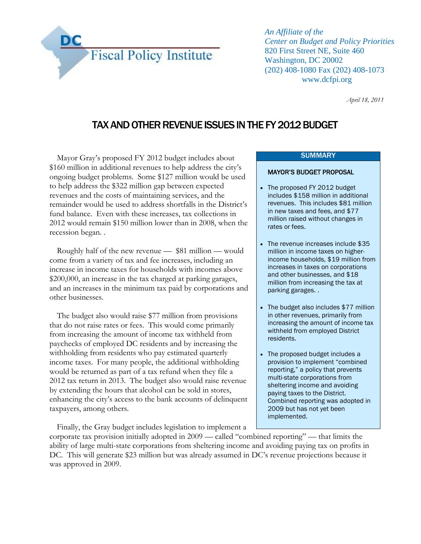

*An Affiliate of the Center on Budget and Policy Priorities* 820 First Street NE, Suite 460 Washington, DC 20002 (202) 408-1080 Fax (202) 408-1073 www.dcfpi.org

*April 18, 2011*

# TAX AND OTHER REVENUE ISSUES IN THE FY 2012 BUDGET

Mayor Gray's proposed FY 2012 budget includes about \$160 million in additional revenues to help address the city's ongoing budget problems. Some \$127 million would be used to help address the \$322 million gap between expected revenues and the costs of maintaining services, and the remainder would be used to address shortfalls in the District's fund balance. Even with these increases, tax collections in 2012 would remain \$150 million lower than in 2008, when the recession began. .

Roughly half of the new revenue — \$81 million — would come from a variety of tax and fee increases, including an increase in income taxes for households with incomes above \$200,000, an increase in the tax charged at parking garages, and an increases in the minimum tax paid by corporations and other businesses.

The budget also would raise \$77 million from provisions that do not raise rates or fees. This would come primarily from increasing the amount of income tax withheld from paychecks of employed DC residents and by increasing the withholding from residents who pay estimated quarterly income taxes. For many people, the additional withholding would be returned as part of a tax refund when they file a 2012 tax return in 2013. The budget also would raise revenue by extending the hours that alcohol can be sold in stores, enhancing the city's access to the bank accounts of delinquent taxpayers, among others.

Finally, the Gray budget includes legislation to implement a

### **SUMMARY**

#### MAYOR'S BUDGET PROPOSAL

- The proposed FY 2012 budget includes \$158 million in additional revenues. This includes \$81 million in new taxes and fees, and \$77 million raised without changes in rates or fees.
- The revenue increases include \$35 million in income taxes on higherincome households, \$19 million from increases in taxes on corporations and other businesses, and \$18 million from increasing the tax at parking garages. .
- The budget also includes \$77 million in other revenues, primarily from increasing the amount of income tax withheld from employed District residents.
- The proposed budget includes a provision to implement "combined reporting," a policy that prevents multi-state corporations from sheltering income and avoiding paying taxes to the District. Combined reporting was adopted in 2009 but has not yet been implemented.

corporate tax provision initially adopted in 2009 — called "combined reporting" — that limits the ability of large multi-state corporations from sheltering income and avoiding paying tax on profits in DC. This will generate \$23 million but was already assumed in DC's revenue projections because it was approved in 2009.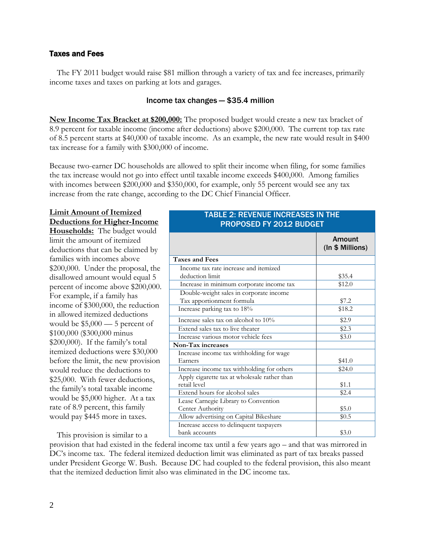### Taxes and Fees

The FY 2011 budget would raise \$81 million through a variety of tax and fee increases, primarily income taxes and taxes on parking at lots and garages.

### Income tax changes — \$35.4 million

**New Income Tax Bracket at \$200,000:** The proposed budget would create a new tax bracket of 8.9 percent for taxable income (income after deductions) above \$200,000. The current top tax rate of 8.5 percent starts at \$40,000 of taxable income. As an example, the new rate would result in \$400 tax increase for a family with \$300,000 of income.

Because two-earner DC households are allowed to split their income when filing, for some families the tax increase would not go into effect until taxable income exceeds \$400,000. Among families with incomes between \$200,000 and \$350,000, for example, only 55 percent would see any tax increase from the rate change, according to the DC Chief Financial Officer.

## **Limit Amount of Itemized Deductions for Higher-Income**

**Households:** The budget would limit the amount of itemized deductions that can be claimed by families with incomes above \$200,000. Under the proposal, the disallowed amount would equal 5 percent of income above \$200,000. For example, if a family has income of \$300,000, the reduction in allowed itemized deductions would be \$5,000 — 5 percent of \$100,000 (\$300,000 minus \$200,000). If the family's total itemized deductions were \$30,000 before the limit, the new provision would reduce the deductions to \$25,000. With fewer deductions, the family's total taxable income would be \$5,000 higher. At a tax rate of 8.9 percent, this family would pay \$445 more in taxes.

This provision is similar to a

### TABLE 2: REVENUE INCREASES IN THE PROPOSED FY 2012 BUDGET

|                                              | Amount<br>(In \$ Millions) |
|----------------------------------------------|----------------------------|
| <b>Taxes and Fees</b>                        |                            |
| Income tax rate increase and itemized        |                            |
| deduction limit                              | \$35.4                     |
| Increase in minimum corporate income tax     | \$12.0                     |
| Double-weight sales in corporate income      |                            |
| Tax apportionment formula                    | \$7.2                      |
| Increase parking tax to 18%                  | \$18.2                     |
| Increase sales tax on alcohol to 10%         | \$2.9                      |
| Extend sales tax to live theater             | \$2.3                      |
| Increase various motor vehicle fees          | \$3.0                      |
| Non-Tax increases                            |                            |
| Increase income tax withholding for wage     |                            |
| Earners                                      | \$41.0                     |
| Increase income tax withholding for others   | \$24.0                     |
| Apply cigarette tax at wholesale rather than |                            |
| retail level                                 | \$1.1                      |
| Extend hours for alcohol sales               | \$2.4                      |
| Lease Carnegie Library to Convention         |                            |
| Center Authority                             | \$5.0                      |
| Allow advertising on Capital Bikeshare       | \$0.5                      |
| Increase access to delinquent taxpayers      |                            |
| bank accounts                                | \$3.0                      |

provision that had existed in the federal income tax until a few years ago – and that was mirrored in DC's income tax. The federal itemized deduction limit was eliminated as part of tax breaks passed under President George W. Bush. Because DC had coupled to the federal provision, this also meant that the itemized deduction limit also was eliminated in the DC income tax.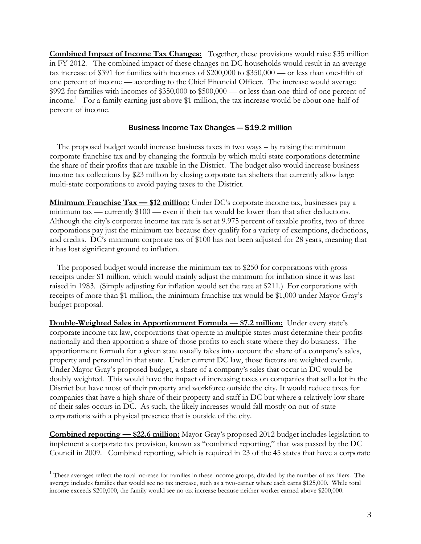**Combined Impact of Income Tax Changes:** Together, these provisions would raise \$35 million in FY 2012. The combined impact of these changes on DC households would result in an average tax increase of \$391 for families with incomes of \$200,000 to \$350,000 — or less than one-fifth of one percent of income — according to the Chief Financial Officer. The increase would average \$992 for families with incomes of \$350,000 to \$500,000 — or less than one-third of one percent of income.<sup>1</sup> For a family earning just above \$1 million, the tax increase would be about one-half of percent of income.

### Business Income Tax Changes — \$19.2 million

The proposed budget would increase business taxes in two ways – by raising the minimum corporate franchise tax and by changing the formula by which multi-state corporations determine the share of their profits that are taxable in the District. The budget also would increase business income tax collections by \$23 million by closing corporate tax shelters that currently allow large multi-state corporations to avoid paying taxes to the District.

**Minimum Franchise Tax — \$12 million:** Under DC's corporate income tax, businesses pay a minimum tax — currently \$100 — even if their tax would be lower than that after deductions. Although the city's corporate income tax rate is set at 9.975 percent of taxable profits, two of three corporations pay just the minimum tax because they qualify for a variety of exemptions, deductions, and credits. DC's minimum corporate tax of \$100 has not been adjusted for 28 years, meaning that it has lost significant ground to inflation.

The proposed budget would increase the minimum tax to \$250 for corporations with gross receipts under \$1 million, which would mainly adjust the minimum for inflation since it was last raised in 1983. (Simply adjusting for inflation would set the rate at \$211.) For corporations with receipts of more than \$1 million, the minimum franchise tax would be \$1,000 under Mayor Gray's budget proposal.

**Double-Weighted Sales in Apportionment Formula — \$7.2 million:** Under every state's corporate income tax law, corporations that operate in multiple states must determine their profits nationally and then apportion a share of those profits to each state where they do business. The apportionment formula for a given state usually takes into account the share of a company's sales, property and personnel in that state. Under current DC law, those factors are weighted evenly. Under Mayor Gray's proposed budget, a share of a company's sales that occur in DC would be doubly weighted. This would have the impact of increasing taxes on companies that sell a lot in the District but have most of their property and workforce outside the city. It would reduce taxes for companies that have a high share of their property and staff in DC but where a relatively low share of their sales occurs in DC. As such, the likely increases would fall mostly on out-of-state corporations with a physical presence that is outside of the city.

**Combined reporting — \$22.6 million:** Mayor Gray's proposed 2012 budget includes legislation to implement a corporate tax provision, known as "combined reporting," that was passed by the DC Council in 2009. Combined reporting, which is required in 23 of the 45 states that have a corporate

 $\overline{a}$ 

<sup>&</sup>lt;sup>1</sup> These averages reflect the total increase for families in these income groups, divided by the number of tax filers. The average includes families that would see no tax increase, such as a two-earner where each earns \$125,000. While total income exceeds \$200,000, the family would see no tax increase because neither worker earned above \$200,000.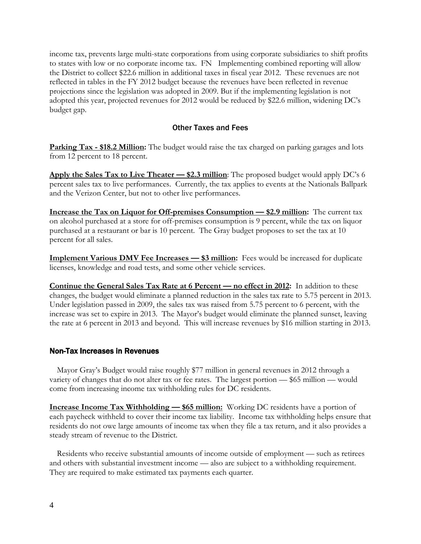income tax, prevents large multi-state corporations from using corporate subsidiaries to shift profits to states with low or no corporate income tax. FN Implementing combined reporting will allow the District to collect \$22.6 million in additional taxes in fiscal year 2012. These revenues are not reflected in tables in the FY 2012 budget because the revenues have been reflected in revenue projections since the legislation was adopted in 2009. But if the implementing legislation is not adopted this year, projected revenues for 2012 would be reduced by \$22.6 million, widening DC's budget gap.

### Other Taxes and Fees

**Parking Tax - \$18.2 Million:** The budget would raise the tax charged on parking garages and lots from 12 percent to 18 percent.

Apply the Sales Tax to Live Theater – \$2.3 million: The proposed budget would apply DC's 6 percent sales tax to live performances. Currently, the tax applies to events at the Nationals Ballpark and the Verizon Center, but not to other live performances.

**<u>Increase the Tax on Liquor for Off-premises Consumption — \$2.9 million:</u> The current tax** on alcohol purchased at a store for off-premises consumption is 9 percent, while the tax on liquor purchased at a restaurant or bar is 10 percent. The Gray budget proposes to set the tax at 10 percent for all sales.

**Implement Various DMV Fee Increases – \$3 million:** Fees would be increased for duplicate licenses, knowledge and road tests, and some other vehicle services.

**Continue the General Sales Tax Rate at 6 Percent — no effect in 2012:** In addition to these changes, the budget would eliminate a planned reduction in the sales tax rate to 5.75 percent in 2013. Under legislation passed in 2009, the sales tax was raised from 5.75 percent to 6 percent, with the increase was set to expire in 2013. The Mayor's budget would eliminate the planned sunset, leaving the rate at 6 percent in 2013 and beyond. This will increase revenues by \$16 million starting in 2013.

### Non-Tax Increases in Revenues

Mayor Gray's Budget would raise roughly \$77 million in general revenues in 2012 through a variety of changes that do not alter tax or fee rates. The largest portion — \$65 million — would come from increasing income tax withholding rules for DC residents.

**Increase Income Tax Withholding – \$65 million:** Working DC residents have a portion of each paycheck withheld to cover their income tax liability. Income tax withholding helps ensure that residents do not owe large amounts of income tax when they file a tax return, and it also provides a steady stream of revenue to the District.

Residents who receive substantial amounts of income outside of employment — such as retirees and others with substantial investment income — also are subject to a withholding requirement. They are required to make estimated tax payments each quarter.